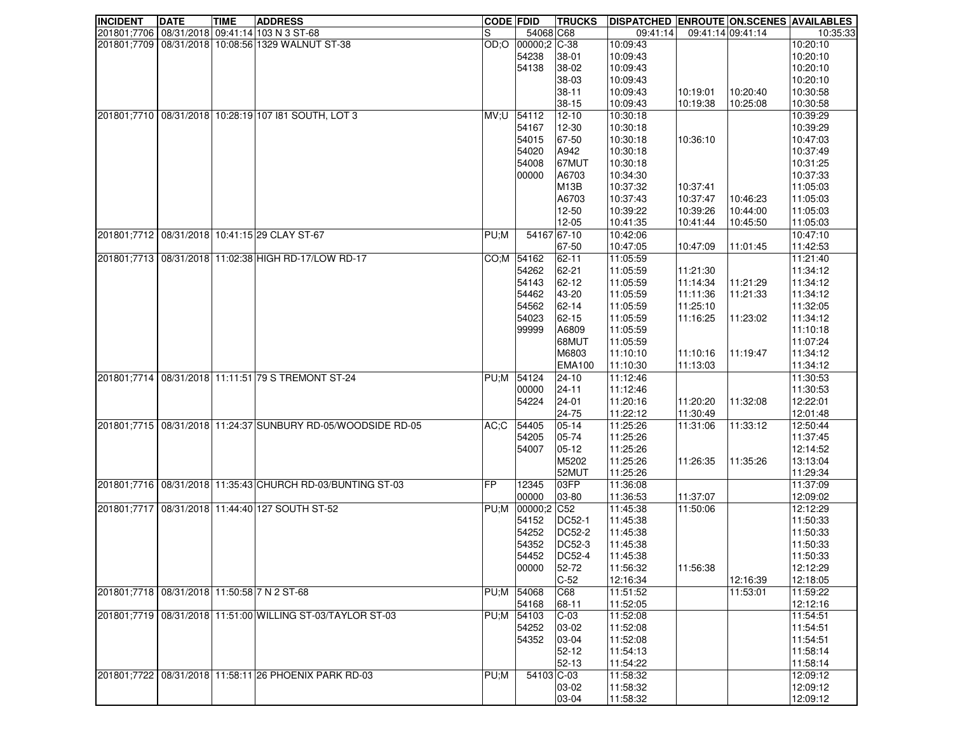| <b>INCIDENT</b>                             | <b>DATE</b> | <b>TIME</b> | <b>ADDRESS</b>                                                   | <b>CODE FDID</b> |                   | <b>TRUCKS</b>     | <b>DISPATCHED ENROUTE ON.SCENES AVAILABLES</b> |          |                   |          |
|---------------------------------------------|-------------|-------------|------------------------------------------------------------------|------------------|-------------------|-------------------|------------------------------------------------|----------|-------------------|----------|
|                                             |             |             | 201801;7706 08/31/2018 09:41:14 103 N 3 ST-68                    | S                | 54068 C68         |                   | 09:41:14                                       |          | 09:41:14 09:41:14 | 10:35:33 |
|                                             |             |             | 201801;7709 08/31/2018 10:08:56 1329 WALNUT ST-38                |                  | OD;O 00000;2 C-38 |                   | 10:09:43                                       |          |                   | 10:20:10 |
|                                             |             |             |                                                                  |                  | 54238             | 38-01             | 10:09:43                                       |          |                   | 10:20:10 |
|                                             |             |             |                                                                  |                  | 54138             | 38-02             | 10:09:43                                       |          |                   | 10:20:10 |
|                                             |             |             |                                                                  |                  |                   | 38-03             | 10:09:43                                       |          |                   | 10:20:10 |
|                                             |             |             |                                                                  |                  |                   | $38 - 11$         | 10:09:43                                       | 10:19:01 | 10:20:40          | 10:30:58 |
|                                             |             |             |                                                                  |                  |                   | $38 - 15$         | 10:09:43                                       | 10:19:38 | 10:25:08          | 10:30:58 |
|                                             |             |             | 201801;7710 08/31/2018 10:28:19 107 181 SOUTH, LOT 3             | MV:U 54112       |                   | $12 - 10$         | 10:30:18                                       |          |                   | 10:39:29 |
|                                             |             |             |                                                                  |                  | 54167             | 12-30             | 10:30:18                                       |          |                   | 10:39:29 |
|                                             |             |             |                                                                  |                  | 54015             | 67-50             | 10:30:18                                       | 10:36:10 |                   | 10:47:03 |
|                                             |             |             |                                                                  |                  | 54020             | A942              | 10:30:18                                       |          |                   | 10:37:49 |
|                                             |             |             |                                                                  |                  | 54008             | 67MUT             | 10:30:18                                       |          |                   | 10:31:25 |
|                                             |             |             |                                                                  |                  | 00000             | A6703             | 10:34:30                                       |          |                   | 10:37:33 |
|                                             |             |             |                                                                  |                  |                   | M <sub>13</sub> B | 10:37:32                                       | 10:37:41 |                   | 11:05:03 |
|                                             |             |             |                                                                  |                  |                   | A6703             | 10:37:43                                       | 10:37:47 | 10:46:23          | 11:05:03 |
|                                             |             |             |                                                                  |                  |                   | $12 - 50$         | 10:39:22                                       | 10:39:26 | 10:44:00          | 11:05:03 |
|                                             |             |             |                                                                  |                  |                   | $12 - 05$         | 10:41:35                                       | 10:41:44 | 10:45:50          | 11:05:03 |
|                                             |             |             | 201801;7712 08/31/2018 10:41:15 29 CLAY ST-67                    | PU;M             | 54167 67-10       |                   |                                                |          |                   |          |
|                                             |             |             |                                                                  |                  |                   |                   | 10:42:06                                       |          |                   | 10:47:10 |
|                                             |             |             |                                                                  |                  |                   | 67-50             | 10:47:05                                       | 10:47:09 | 11:01:45          | 11:42:53 |
|                                             |             |             | 201801;7713 08/31/2018 11:02:38 HIGH RD-17/LOW RD-17             |                  | CO;M 54162        | 62-11             | 11:05:59                                       |          |                   | 11:21:40 |
|                                             |             |             |                                                                  |                  | 54262             | 62-21             | 11:05:59                                       | 11:21:30 |                   | 11:34:12 |
|                                             |             |             |                                                                  |                  | 54143             | 62-12             | 11:05:59                                       | 11:14:34 | 11:21:29          | 11:34:12 |
|                                             |             |             |                                                                  |                  | 54462             | 43-20             | 11:05:59                                       | 11:11:36 | 11:21:33          | 11:34:12 |
|                                             |             |             |                                                                  |                  | 54562             | 62-14             | 11:05:59                                       | 11:25:10 |                   | 11:32:05 |
|                                             |             |             |                                                                  |                  | 54023             | 62-15             | 11:05:59                                       | 11:16:25 | 11:23:02          | 11:34:12 |
|                                             |             |             |                                                                  |                  | 99999             | A6809             | 11:05:59                                       |          |                   | 11:10:18 |
|                                             |             |             |                                                                  |                  |                   | 68MUT             | 11:05:59                                       |          |                   | 11:07:24 |
|                                             |             |             |                                                                  |                  |                   | M6803             | 11:10:10                                       | 11:10:16 | 11:19:47          | 11:34:12 |
|                                             |             |             |                                                                  |                  |                   | <b>EMA100</b>     | 11:10:30                                       | 11:13:03 |                   | 11:34:12 |
|                                             |             |             | 201801;7714 08/31/2018 11:11:51 79 S TREMONT ST-24               | PU;M 54124       |                   | $24 - 10$         | 11:12:46                                       |          |                   | 11:30:53 |
|                                             |             |             |                                                                  |                  | 00000             | $24 - 11$         | 11:12:46                                       |          |                   | 11:30:53 |
|                                             |             |             |                                                                  |                  | 54224             | $24 - 01$         | 11:20:16                                       | 11:20:20 | 11:32:08          | 12:22:01 |
|                                             |             |             |                                                                  |                  |                   | 24-75             | 11:22:12                                       | 11:30:49 |                   | 12:01:48 |
|                                             |             |             | 201801;7715   08/31/2018   11:24:37 SUNBURY RD-05/WOODSIDE RD-05 | AC:C             | 54405             | $05 - 14$         | 11:25:26                                       | 11:31:06 | 11:33:12          | 12:50:44 |
|                                             |             |             |                                                                  |                  | 54205             | 05-74             | 11:25:26                                       |          |                   | 11:37:45 |
|                                             |             |             |                                                                  |                  | 54007             | $05-12$           | 11:25:26                                       |          |                   | 12:14:52 |
|                                             |             |             |                                                                  |                  |                   | M5202             | 11:25:26                                       | 11:26:35 | 11:35:26          | 13:13:04 |
|                                             |             |             |                                                                  |                  |                   | 52MUT             | 11:25:26                                       |          |                   | 11:29:34 |
|                                             |             |             | 201801;7716 08/31/2018 11:35:43 CHURCH RD-03/BUNTING ST-03       | <b>IFP</b>       | 12345             | 03FP              | 11:36:08                                       |          |                   | 11:37:09 |
|                                             |             |             |                                                                  |                  | 00000             | 03-80             | 11:36:53                                       | 11:37:07 |                   | 12:09:02 |
| 201801;7717                                 |             |             | 08/31/2018 11:44:40 127 SOUTH ST-52                              |                  | PU;M 00000;2 C52  |                   | 11:45:38                                       | 11:50:06 |                   | 12:12:29 |
|                                             |             |             |                                                                  |                  | 54152             | DC52-1            | 11:45:38                                       |          |                   | 11:50:33 |
|                                             |             |             |                                                                  |                  | 54252             | <b>DC52-2</b>     | 11:45:38                                       |          |                   | 11:50:33 |
|                                             |             |             |                                                                  |                  | 54352             | <b>DC52-3</b>     | 11:45:38                                       |          |                   | 11:50:33 |
|                                             |             |             |                                                                  |                  | 54452             | DC52-4            | 11:45:38                                       |          |                   | 11:50:33 |
|                                             |             |             |                                                                  |                  | 00000             | 52-72             | 11:56:32                                       | 11:56:38 |                   | 12:12:29 |
|                                             |             |             |                                                                  |                  |                   | $C-52$            | 12:16:34                                       |          | 12:16:39          | 12:18:05 |
| 201801;7718 08/31/2018 11:50:58 7 N 2 ST-68 |             |             |                                                                  | PU;M 54068       |                   | C68               | 11:51:52                                       |          | 11:53:01          | 11:59:22 |
|                                             |             |             |                                                                  |                  | 54168             | 68-11             | 11:52:05                                       |          |                   | 12:12:16 |
|                                             |             |             | 201801;7719 08/31/2018 11:51:00 WILLING ST-03/TAYLOR ST-03       | PU;M 54103       |                   | $C-03$            | 11:52:08                                       |          |                   | 11:54:51 |
|                                             |             |             |                                                                  |                  | 54252             | 03-02             | 11:52:08                                       |          |                   | 11:54:51 |
|                                             |             |             |                                                                  |                  | 54352             | 03-04             | 11:52:08                                       |          |                   | 11:54:51 |
|                                             |             |             |                                                                  |                  |                   | $52 - 12$         | 11:54:13                                       |          |                   | 11:58:14 |
|                                             |             |             |                                                                  |                  |                   | $52 - 13$         | 11:54:22                                       |          |                   | 11:58:14 |
| 201801;7722                                 |             |             | 08/31/2018 11:58:11 26 PHOENIX PARK RD-03                        | PU;M             | 54103 C-03        |                   | 11:58:32                                       |          |                   | 12:09:12 |
|                                             |             |             |                                                                  |                  |                   | 03-02             | 11:58:32                                       |          |                   | 12:09:12 |
|                                             |             |             |                                                                  |                  |                   |                   |                                                |          |                   |          |
|                                             |             |             |                                                                  |                  |                   | 03-04             | 11:58:32                                       |          |                   | 12:09:12 |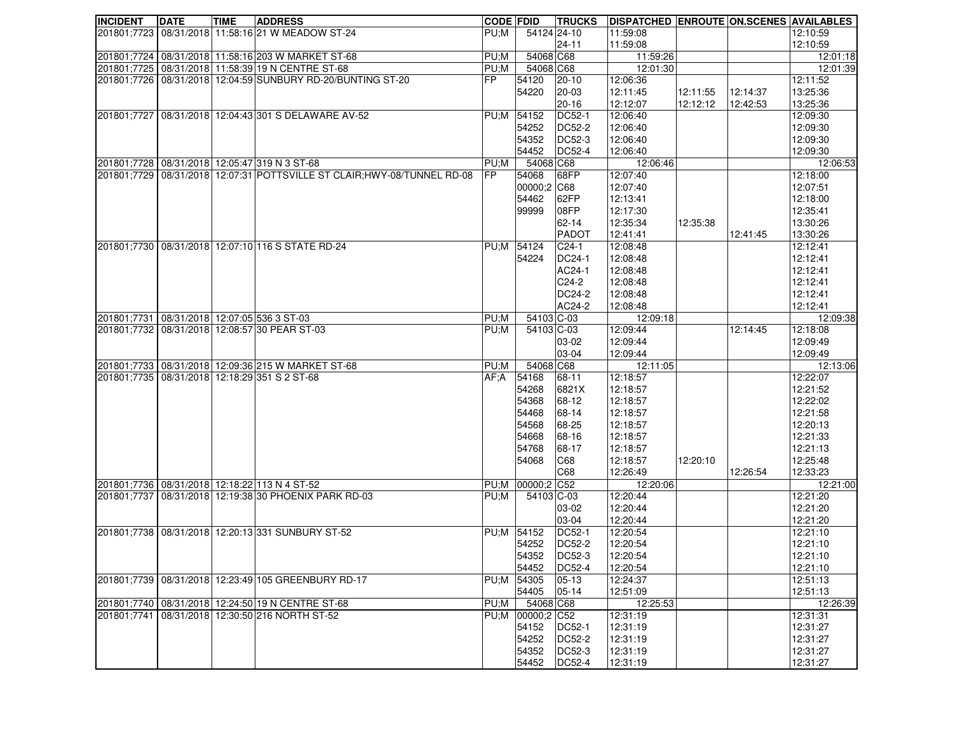| <b>INCIDENT</b>                             | <b>DATE</b> | TIME | <b>ADDRESS</b>                                                  | <b>CODE FDID</b> |                  | <b>TRUCKS</b>   | <b>DISPATCHED ENROUTE ON.SCENES AVAILABLES</b> |          |          |                      |
|---------------------------------------------|-------------|------|-----------------------------------------------------------------|------------------|------------------|-----------------|------------------------------------------------|----------|----------|----------------------|
|                                             |             |      | 201801;7723 08/31/2018 11:58:16 21 W MEADOW ST-24               | PU:M             | 54124 24-10      |                 | 11:59:08                                       |          |          | 12:10:59             |
|                                             |             |      |                                                                 |                  |                  | 24-11           | 11:59:08                                       |          |          | 12:10:59             |
|                                             |             |      | 201801;7724 08/31/2018 11:58:16 203 W MARKET ST-68              | PU;M             | 54068 C68        |                 | 11:59:26                                       |          |          | 12:01:18             |
|                                             |             |      | 201801;7725   08/31/2018   11:58:39   19 N CENTRE ST-68         | PU;M             | 54068 C68        |                 | 12:01:30                                       |          |          | 12:01:39             |
|                                             |             |      | 201801;7726   08/31/2018   12:04:59 SUNBURY RD-20/BUNTING ST-20 | lFP.             | 54120            | $20-10$         | 12:06:36                                       |          |          | 12:11:52             |
|                                             |             |      |                                                                 |                  | 54220            | 20-03           | 12:11:45                                       | 12:11:55 | 12:14:37 | 13:25:36             |
|                                             |             |      |                                                                 |                  |                  | $20 - 16$       | 12:12:07                                       | 12:12:12 | 12:42:53 | 13:25:36             |
|                                             |             |      | 201801;7727   08/31/2018   12:04:43 301 S DELAWARE AV-52        | PU;M             | 54152            | DC52-1          | 12:06:40                                       |          |          | 12:09:30             |
|                                             |             |      |                                                                 |                  | 54252            | DC52-2          | 12:06:40                                       |          |          | 12:09:30             |
|                                             |             |      |                                                                 |                  | 54352            | DC52-3          | 12:06:40                                       |          |          | 12:09:30             |
|                                             |             |      |                                                                 |                  | 54452            | <b>DC52-4</b>   | 12:06:40                                       |          |          | 12:09:30             |
|                                             |             |      | 201801;7728 08/31/2018 12:05:47 319 N 3 ST-68                   | PU;M             | 54068 C68        |                 | 12:06:46                                       |          |          | 12:06:53             |
| 201801;7729                                 |             |      | 08/31/2018 12:07:31 POTTSVILLE ST CLAIR; HWY-08/TUNNEL RD-08    | IFP              | 54068            | 68FP            | 12:07:40                                       |          |          | 12:18:00             |
|                                             |             |      |                                                                 |                  | 00000;2 C68      |                 | 12:07:40                                       |          |          | 12:07:51             |
|                                             |             |      |                                                                 |                  | 54462            | 62FP            | 12:13:41                                       |          |          | 12:18:00             |
|                                             |             |      |                                                                 |                  | 99999            | 08FP<br>62-14   | 12:17:30<br>12:35:34                           | 12:35:38 |          | 12:35:41<br>13:30:26 |
|                                             |             |      |                                                                 |                  |                  | <b>PADOT</b>    | 12:41:41                                       |          |          | 13:30:26             |
|                                             |             |      | 201801;7730   08/31/2018   12:07:10   116 S STATE RD-24         | PU;M             | 54124            | $C24-1$         | 12:08:48                                       |          | 12:41:45 | 12:12:41             |
|                                             |             |      |                                                                 |                  | 54224            | <b>DC24-1</b>   | 12:08:48                                       |          |          | 12:12:41             |
|                                             |             |      |                                                                 |                  |                  | AC24-1          | 12:08:48                                       |          |          | 12:12:41             |
|                                             |             |      |                                                                 |                  |                  | $C24-2$         | 12:08:48                                       |          |          | 12:12:41             |
|                                             |             |      |                                                                 |                  |                  | <b>DC24-2</b>   | 12:08:48                                       |          |          | 12:12:41             |
|                                             |             |      |                                                                 |                  |                  | AC24-2          | 12:08:48                                       |          |          | 12:12:41             |
| 201801;7731 08/31/2018 12:07:05 536 3 ST-03 |             |      |                                                                 | PU;M             | 54103 C-03       |                 | 12:09:18                                       |          |          | 12:09:38             |
|                                             |             |      | 201801;7732 08/31/2018 12:08:57 30 PEAR ST-03                   | PU;M             | 54103 C-03       |                 | 12:09:44                                       |          | 12:14:45 | 12:18:08             |
|                                             |             |      |                                                                 |                  |                  | 03-02           | 12:09:44                                       |          |          | 12:09:49             |
|                                             |             |      |                                                                 |                  |                  | 03-04           | 12:09:44                                       |          |          | 12:09:49             |
|                                             |             |      | 201801;7733 08/31/2018 12:09:36 215 W MARKET ST-68              | PU;M             | 54068 C68        |                 | 12:11:05                                       |          |          | 12:13:06             |
|                                             |             |      | 201801;7735 08/31/2018 12:18:29 351 S 2 ST-68                   | AF:A             | 54168            | 68-11           | 12:18:57                                       |          |          | 12:22:07             |
|                                             |             |      |                                                                 |                  | 54268            | 6821X           | 12:18:57                                       |          |          | 12:21:52             |
|                                             |             |      |                                                                 |                  | 54368            | 68-12           | 12:18:57                                       |          |          | 12:22:02             |
|                                             |             |      |                                                                 |                  | 54468            | 68-14           | 12:18:57                                       |          |          | 12:21:58             |
|                                             |             |      |                                                                 |                  | 54568            | 68-25           | 12:18:57                                       |          |          | 12:20:13             |
|                                             |             |      |                                                                 |                  | 54668            | 68-16           | 12:18:57                                       |          |          | 12:21:33             |
|                                             |             |      |                                                                 |                  | 54768            | 68-17           | 12:18:57                                       |          |          | 12:21:13             |
|                                             |             |      |                                                                 |                  | 54068            | C68             | 12:18:57                                       | 12:20:10 |          | 12:25:48             |
|                                             |             |      |                                                                 |                  |                  | C68             | 12:26:49                                       |          | 12:26:54 | 12:33:23             |
|                                             |             |      | 201801;7736 08/31/2018 12:18:22 113 N 4 ST-52                   | PU;M             | 00000;2 C52      |                 | 12:20:06                                       |          |          | 12:21:00             |
|                                             |             |      | 201801;7737 08/31/2018 12:19:38 30 PHOENIX PARK RD-03           | PU:M             | 54103 C-03       |                 | 12:20:44                                       |          |          | 12:21:20             |
|                                             |             |      |                                                                 |                  |                  | 03-02           | 12:20:44                                       |          |          | 12:21:20             |
|                                             |             |      | 201801;7738 08/31/2018 12:20:13 331 SUNBURY ST-52               | PU;M             | 54152            | 03-04<br>DC52-1 | 12:20:44<br>12:20:54                           |          |          | 12:21:20<br>12:21:10 |
|                                             |             |      |                                                                 |                  | 54252            | DC52-2          | 12:20:54                                       |          |          | 12:21:10             |
|                                             |             |      |                                                                 |                  | 54352            | DC52-3          | 12:20:54                                       |          |          | 12:21:10             |
|                                             |             |      |                                                                 |                  | 54452            | DC52-4          | 12:20:54                                       |          |          | 12:21:10             |
|                                             |             |      | 201801;7739 08/31/2018 12:23:49 105 GREENBURY RD-17             |                  | PU;M 54305       | $05-13$         | 12:24:37                                       |          |          | 12:51:13             |
|                                             |             |      |                                                                 |                  | 54405            | $05 - 14$       | 12:51:09                                       |          |          | 12:51:13             |
|                                             |             |      | 201801;7740   08/31/2018   12:24:50   19 N CENTRE ST-68         | PU;M             | 54068 C68        |                 | 12:25:53                                       |          |          | 12:26:39             |
| 201801;7741                                 |             |      | 08/31/2018 12:30:50 216 NORTH ST-52                             |                  | PU;M 00000;2 C52 |                 | 12:31:19                                       |          |          | 12:31:31             |
|                                             |             |      |                                                                 |                  | 54152            | DC52-1          | 12:31:19                                       |          |          | 12:31:27             |
|                                             |             |      |                                                                 |                  | 54252            | DC52-2          | 12:31:19                                       |          |          | 12:31:27             |
|                                             |             |      |                                                                 |                  | 54352            | <b>DC52-3</b>   | 12:31:19                                       |          |          | 12:31:27             |
|                                             |             |      |                                                                 |                  | 54452            | DC52-4          | 12:31:19                                       |          |          | 12:31:27             |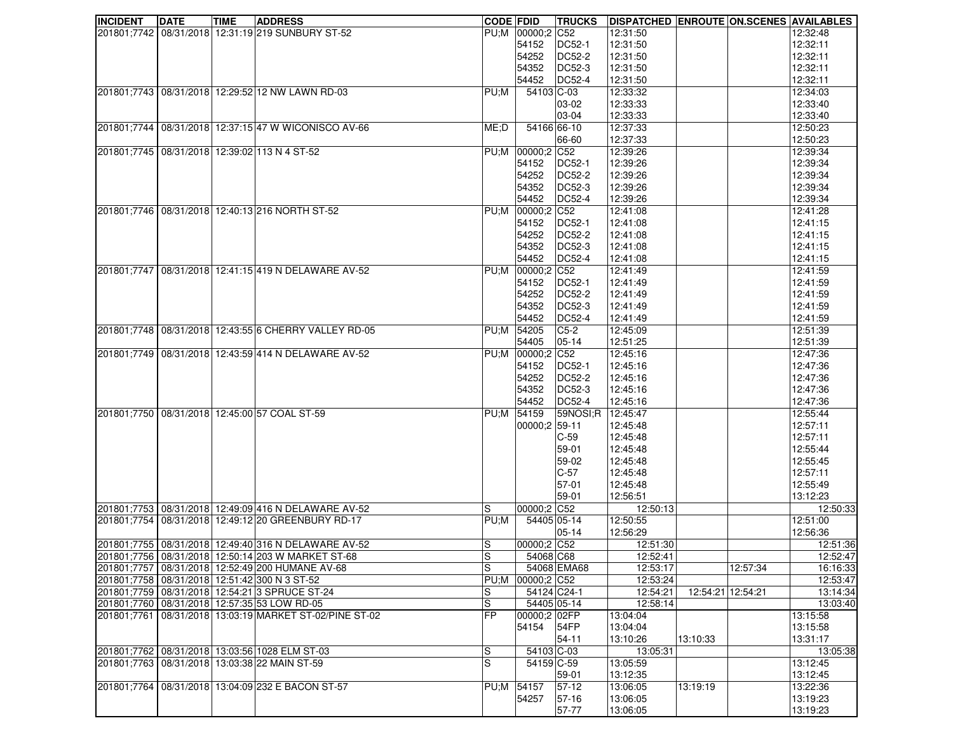| 201801;7742 08/31/2018 12:31:19 219 SUNBURY ST-52<br>PU;M 00000;2 C52<br>12:31:50<br>12:32:48<br>12:31:50<br>12:32:11<br>54152<br>DC52-1<br>DC52-2<br>12:31:50<br>12:32:11<br>54252<br>12:32:11<br>54352<br>DC52-3<br>12:31:50<br>12:32:11<br><b>DC52-4</b><br>12:31:50<br>54452<br>201801;7743 08/31/2018 12:29:52 12 NW LAWN RD-03<br>54103 C-03<br>12:33:32<br>12:34:03<br>PU;M<br>12:33:33<br>12:33:40<br>03-02<br>03-04<br>12:33:33<br>12:33:40<br>201801;7744 08/31/2018 12:37:15 47 W WICONISCO AV-66<br>12:37:33<br>12:50:23<br>ME;D<br>54166 66-10<br>66-60<br>12:37:33<br>12:50:23<br>201801;7745 08/31/2018 12:39:02 113 N 4 ST-52<br>PU;M 00000;2 C52<br>12:39:26<br>12:39:34<br>12:39:26<br>12:39:34<br>54152<br><b>DC52-1</b><br>DC52-2<br>12:39:34<br>12:39:26<br>54252<br>12:39:26<br>12:39:34<br>54352<br><b>DC52-3</b><br>54452<br>DC52-4<br>12:39:26<br>12:39:34<br>201801;7746 08/31/2018 12:40:13 216 NORTH ST-52<br>12:41:08<br>12:41:28<br>PU;M 00000;2 C52<br>12:41:15<br><b>DC52-1</b><br>12:41:08<br>54152<br>DC52-2<br>12:41:15<br>54252<br>12:41:08<br>12:41:08<br>12:41:15<br>54352<br>DC52-3<br>12:41:15<br>54452<br><b>DC52-4</b><br>12:41:08<br>08/31/2018 12:41:15 419 N DELAWARE AV-52<br>PU;M 00000;2 C52<br>12:41:49<br>12:41:59<br>201801;7747<br>12:41:49<br>12:41:59<br>54152<br><b>DC52-1</b><br>DC52-2<br>12:41:49<br>12:41:59<br>54252<br>54352<br>DC52-3<br>12:41:49<br>12:41:59<br><b>DC52-4</b><br>12:41:59<br>54452<br>12:41:49<br>201801;7748 08/31/2018 12:43:55 6 CHERRY VALLEY RD-05<br>12:51:39<br>PU;M 54205<br>$C5-2$<br>12:45:09<br>05-14<br>12:51:25<br>12:51:39<br>54405<br>201801;7749 08/31/2018 12:43:59 414 N DELAWARE AV-52<br>12:45:16<br>12:47:36<br>PU;M 00000;2 C52<br>12:45:16<br>12:47:36<br>54152<br><b>DC52-1</b><br>12:47:36<br>DC52-2<br>12:45:16<br>54252<br>12:47:36<br>54352<br>DC52-3<br>12:45:16<br>DC52-4<br>12:47:36<br>54452<br>12:45:16<br>12:55:44<br>201801;7750 08/31/2018 12:45:00 57 COAL ST-59<br>59NOSI;R 12:45:47<br>PU;M 54159<br>00000;2 59-11<br>12:57:11<br>12:45:48<br>12:57:11<br>$C-59$<br>12:45:48<br>12:55:44<br>59-01<br>12:45:48<br>12:55:45<br>59-02<br>12:45:48<br>$C-57$<br>12:57:11<br>12:45:48<br>12:55:49<br>57-01<br>12:45:48<br>59-01<br>12:56:51<br>13:12:23<br>201801;7753 08/31/2018 12:49:09 416 N DELAWARE AV-52<br>00000;2 C52<br>12:50:13<br>12:50:33<br>S<br>08/31/2018 12:49:12 20 GREENBURY RD-17<br>PU;M<br>54405 05-14<br>12:50:55<br>12:51:00<br>201801;7754<br>12:56:29<br>12:56:36<br>$05 - 14$<br>201801;7755 08/31/2018 12:49:40 316 N DELAWARE AV-52<br>S<br>00000;2 C52<br>12:51:30<br>12:51:36<br>201801;7756 08/31/2018 12:50:14 203 W MARKET ST-68<br>ls<br>54068 C68<br>12:52:41<br>12:52:47<br>S<br>201801;7757   08/31/2018   12:52:49 200 HUMANE AV-68<br>54068 EMA68<br>12:57:34<br>16:16:33<br>12:53:17<br>201801;7758 08/31/2018 12:51:42 300 N 3 ST-52<br>PU;M 00000;2 C52<br>12:53:47<br>12:53:24<br>12:54:21 12:54:21<br>201801;7759 08/31/2018 12:54:21 3 SPRUCE ST-24<br>S<br>54124 C24-1<br>12:54:21<br>13:14:34<br>201801;7760 08/31/2018 12:57:35 53 LOW RD-05<br>S<br>54405 05-14<br>12:58:14<br>13:03:40<br> FP<br>201801;7761 08/31/2018 13:03:19 MARKET ST-02/PINE ST-02<br>00000;2 02FP<br>13:15:58<br>13:04:04<br>54FP<br>13:15:58<br>54154<br>13:04:04<br>54-11<br>13:10:26<br>13:31:17<br>13:10:33<br>S<br>201801;7762 08/31/2018 13:03:56 1028 ELM ST-03<br>54103 C-03<br>13:05:31<br>13:05:38<br>S<br>201801;7763 08/31/2018 13:03:38 22 MAIN ST-59<br>54159 C-59<br>13:05:59<br>13:12:45<br>59-01<br>13:12:35<br>13:12:45<br>201801;7764   08/31/2018   13:04:09 232 E BACON ST-57<br>$57-12$<br>PU;M 54157<br>13:06:05<br>13:19:19<br>13:22:36<br>57-16<br>13:06:05<br>13:19:23<br>54257 | <b>INCIDENT</b> | <b>DATE</b> | <b>TIME</b> | <b>ADDRESS</b> | <b>CODE FDID</b> | <b>TRUCKS</b> | <b>DISPATCHED ENROUTE ON.SCENES AVAILABLES</b> |  |          |
|------------------------------------------------------------------------------------------------------------------------------------------------------------------------------------------------------------------------------------------------------------------------------------------------------------------------------------------------------------------------------------------------------------------------------------------------------------------------------------------------------------------------------------------------------------------------------------------------------------------------------------------------------------------------------------------------------------------------------------------------------------------------------------------------------------------------------------------------------------------------------------------------------------------------------------------------------------------------------------------------------------------------------------------------------------------------------------------------------------------------------------------------------------------------------------------------------------------------------------------------------------------------------------------------------------------------------------------------------------------------------------------------------------------------------------------------------------------------------------------------------------------------------------------------------------------------------------------------------------------------------------------------------------------------------------------------------------------------------------------------------------------------------------------------------------------------------------------------------------------------------------------------------------------------------------------------------------------------------------------------------------------------------------------------------------------------------------------------------------------------------------------------------------------------------------------------------------------------------------------------------------------------------------------------------------------------------------------------------------------------------------------------------------------------------------------------------------------------------------------------------------------------------------------------------------------------------------------------------------------------------------------------------------------------------------------------------------------------------------------------------------------------------------------------------------------------------------------------------------------------------------------------------------------------------------------------------------------------------------------------------------------------------------------------------------------------------------------------------------------------------------------------------------------------------------------------------------------------------------------------------------------------------------------------------------------------------------------------------------------------------------------------------------------------------------------------------------------------------------------------------------------------------------------------------------------------------------------------------------------------------------------------------------------------------------------------------------------------------------------------------|-----------------|-------------|-------------|----------------|------------------|---------------|------------------------------------------------|--|----------|
|                                                                                                                                                                                                                                                                                                                                                                                                                                                                                                                                                                                                                                                                                                                                                                                                                                                                                                                                                                                                                                                                                                                                                                                                                                                                                                                                                                                                                                                                                                                                                                                                                                                                                                                                                                                                                                                                                                                                                                                                                                                                                                                                                                                                                                                                                                                                                                                                                                                                                                                                                                                                                                                                                                                                                                                                                                                                                                                                                                                                                                                                                                                                                                                                                                                                                                                                                                                                                                                                                                                                                                                                                                                                                                                                                      |                 |             |             |                |                  |               |                                                |  |          |
|                                                                                                                                                                                                                                                                                                                                                                                                                                                                                                                                                                                                                                                                                                                                                                                                                                                                                                                                                                                                                                                                                                                                                                                                                                                                                                                                                                                                                                                                                                                                                                                                                                                                                                                                                                                                                                                                                                                                                                                                                                                                                                                                                                                                                                                                                                                                                                                                                                                                                                                                                                                                                                                                                                                                                                                                                                                                                                                                                                                                                                                                                                                                                                                                                                                                                                                                                                                                                                                                                                                                                                                                                                                                                                                                                      |                 |             |             |                |                  |               |                                                |  |          |
|                                                                                                                                                                                                                                                                                                                                                                                                                                                                                                                                                                                                                                                                                                                                                                                                                                                                                                                                                                                                                                                                                                                                                                                                                                                                                                                                                                                                                                                                                                                                                                                                                                                                                                                                                                                                                                                                                                                                                                                                                                                                                                                                                                                                                                                                                                                                                                                                                                                                                                                                                                                                                                                                                                                                                                                                                                                                                                                                                                                                                                                                                                                                                                                                                                                                                                                                                                                                                                                                                                                                                                                                                                                                                                                                                      |                 |             |             |                |                  |               |                                                |  |          |
|                                                                                                                                                                                                                                                                                                                                                                                                                                                                                                                                                                                                                                                                                                                                                                                                                                                                                                                                                                                                                                                                                                                                                                                                                                                                                                                                                                                                                                                                                                                                                                                                                                                                                                                                                                                                                                                                                                                                                                                                                                                                                                                                                                                                                                                                                                                                                                                                                                                                                                                                                                                                                                                                                                                                                                                                                                                                                                                                                                                                                                                                                                                                                                                                                                                                                                                                                                                                                                                                                                                                                                                                                                                                                                                                                      |                 |             |             |                |                  |               |                                                |  |          |
|                                                                                                                                                                                                                                                                                                                                                                                                                                                                                                                                                                                                                                                                                                                                                                                                                                                                                                                                                                                                                                                                                                                                                                                                                                                                                                                                                                                                                                                                                                                                                                                                                                                                                                                                                                                                                                                                                                                                                                                                                                                                                                                                                                                                                                                                                                                                                                                                                                                                                                                                                                                                                                                                                                                                                                                                                                                                                                                                                                                                                                                                                                                                                                                                                                                                                                                                                                                                                                                                                                                                                                                                                                                                                                                                                      |                 |             |             |                |                  |               |                                                |  |          |
|                                                                                                                                                                                                                                                                                                                                                                                                                                                                                                                                                                                                                                                                                                                                                                                                                                                                                                                                                                                                                                                                                                                                                                                                                                                                                                                                                                                                                                                                                                                                                                                                                                                                                                                                                                                                                                                                                                                                                                                                                                                                                                                                                                                                                                                                                                                                                                                                                                                                                                                                                                                                                                                                                                                                                                                                                                                                                                                                                                                                                                                                                                                                                                                                                                                                                                                                                                                                                                                                                                                                                                                                                                                                                                                                                      |                 |             |             |                |                  |               |                                                |  |          |
|                                                                                                                                                                                                                                                                                                                                                                                                                                                                                                                                                                                                                                                                                                                                                                                                                                                                                                                                                                                                                                                                                                                                                                                                                                                                                                                                                                                                                                                                                                                                                                                                                                                                                                                                                                                                                                                                                                                                                                                                                                                                                                                                                                                                                                                                                                                                                                                                                                                                                                                                                                                                                                                                                                                                                                                                                                                                                                                                                                                                                                                                                                                                                                                                                                                                                                                                                                                                                                                                                                                                                                                                                                                                                                                                                      |                 |             |             |                |                  |               |                                                |  |          |
|                                                                                                                                                                                                                                                                                                                                                                                                                                                                                                                                                                                                                                                                                                                                                                                                                                                                                                                                                                                                                                                                                                                                                                                                                                                                                                                                                                                                                                                                                                                                                                                                                                                                                                                                                                                                                                                                                                                                                                                                                                                                                                                                                                                                                                                                                                                                                                                                                                                                                                                                                                                                                                                                                                                                                                                                                                                                                                                                                                                                                                                                                                                                                                                                                                                                                                                                                                                                                                                                                                                                                                                                                                                                                                                                                      |                 |             |             |                |                  |               |                                                |  |          |
|                                                                                                                                                                                                                                                                                                                                                                                                                                                                                                                                                                                                                                                                                                                                                                                                                                                                                                                                                                                                                                                                                                                                                                                                                                                                                                                                                                                                                                                                                                                                                                                                                                                                                                                                                                                                                                                                                                                                                                                                                                                                                                                                                                                                                                                                                                                                                                                                                                                                                                                                                                                                                                                                                                                                                                                                                                                                                                                                                                                                                                                                                                                                                                                                                                                                                                                                                                                                                                                                                                                                                                                                                                                                                                                                                      |                 |             |             |                |                  |               |                                                |  |          |
|                                                                                                                                                                                                                                                                                                                                                                                                                                                                                                                                                                                                                                                                                                                                                                                                                                                                                                                                                                                                                                                                                                                                                                                                                                                                                                                                                                                                                                                                                                                                                                                                                                                                                                                                                                                                                                                                                                                                                                                                                                                                                                                                                                                                                                                                                                                                                                                                                                                                                                                                                                                                                                                                                                                                                                                                                                                                                                                                                                                                                                                                                                                                                                                                                                                                                                                                                                                                                                                                                                                                                                                                                                                                                                                                                      |                 |             |             |                |                  |               |                                                |  |          |
|                                                                                                                                                                                                                                                                                                                                                                                                                                                                                                                                                                                                                                                                                                                                                                                                                                                                                                                                                                                                                                                                                                                                                                                                                                                                                                                                                                                                                                                                                                                                                                                                                                                                                                                                                                                                                                                                                                                                                                                                                                                                                                                                                                                                                                                                                                                                                                                                                                                                                                                                                                                                                                                                                                                                                                                                                                                                                                                                                                                                                                                                                                                                                                                                                                                                                                                                                                                                                                                                                                                                                                                                                                                                                                                                                      |                 |             |             |                |                  |               |                                                |  |          |
|                                                                                                                                                                                                                                                                                                                                                                                                                                                                                                                                                                                                                                                                                                                                                                                                                                                                                                                                                                                                                                                                                                                                                                                                                                                                                                                                                                                                                                                                                                                                                                                                                                                                                                                                                                                                                                                                                                                                                                                                                                                                                                                                                                                                                                                                                                                                                                                                                                                                                                                                                                                                                                                                                                                                                                                                                                                                                                                                                                                                                                                                                                                                                                                                                                                                                                                                                                                                                                                                                                                                                                                                                                                                                                                                                      |                 |             |             |                |                  |               |                                                |  |          |
|                                                                                                                                                                                                                                                                                                                                                                                                                                                                                                                                                                                                                                                                                                                                                                                                                                                                                                                                                                                                                                                                                                                                                                                                                                                                                                                                                                                                                                                                                                                                                                                                                                                                                                                                                                                                                                                                                                                                                                                                                                                                                                                                                                                                                                                                                                                                                                                                                                                                                                                                                                                                                                                                                                                                                                                                                                                                                                                                                                                                                                                                                                                                                                                                                                                                                                                                                                                                                                                                                                                                                                                                                                                                                                                                                      |                 |             |             |                |                  |               |                                                |  |          |
|                                                                                                                                                                                                                                                                                                                                                                                                                                                                                                                                                                                                                                                                                                                                                                                                                                                                                                                                                                                                                                                                                                                                                                                                                                                                                                                                                                                                                                                                                                                                                                                                                                                                                                                                                                                                                                                                                                                                                                                                                                                                                                                                                                                                                                                                                                                                                                                                                                                                                                                                                                                                                                                                                                                                                                                                                                                                                                                                                                                                                                                                                                                                                                                                                                                                                                                                                                                                                                                                                                                                                                                                                                                                                                                                                      |                 |             |             |                |                  |               |                                                |  |          |
|                                                                                                                                                                                                                                                                                                                                                                                                                                                                                                                                                                                                                                                                                                                                                                                                                                                                                                                                                                                                                                                                                                                                                                                                                                                                                                                                                                                                                                                                                                                                                                                                                                                                                                                                                                                                                                                                                                                                                                                                                                                                                                                                                                                                                                                                                                                                                                                                                                                                                                                                                                                                                                                                                                                                                                                                                                                                                                                                                                                                                                                                                                                                                                                                                                                                                                                                                                                                                                                                                                                                                                                                                                                                                                                                                      |                 |             |             |                |                  |               |                                                |  |          |
|                                                                                                                                                                                                                                                                                                                                                                                                                                                                                                                                                                                                                                                                                                                                                                                                                                                                                                                                                                                                                                                                                                                                                                                                                                                                                                                                                                                                                                                                                                                                                                                                                                                                                                                                                                                                                                                                                                                                                                                                                                                                                                                                                                                                                                                                                                                                                                                                                                                                                                                                                                                                                                                                                                                                                                                                                                                                                                                                                                                                                                                                                                                                                                                                                                                                                                                                                                                                                                                                                                                                                                                                                                                                                                                                                      |                 |             |             |                |                  |               |                                                |  |          |
|                                                                                                                                                                                                                                                                                                                                                                                                                                                                                                                                                                                                                                                                                                                                                                                                                                                                                                                                                                                                                                                                                                                                                                                                                                                                                                                                                                                                                                                                                                                                                                                                                                                                                                                                                                                                                                                                                                                                                                                                                                                                                                                                                                                                                                                                                                                                                                                                                                                                                                                                                                                                                                                                                                                                                                                                                                                                                                                                                                                                                                                                                                                                                                                                                                                                                                                                                                                                                                                                                                                                                                                                                                                                                                                                                      |                 |             |             |                |                  |               |                                                |  |          |
|                                                                                                                                                                                                                                                                                                                                                                                                                                                                                                                                                                                                                                                                                                                                                                                                                                                                                                                                                                                                                                                                                                                                                                                                                                                                                                                                                                                                                                                                                                                                                                                                                                                                                                                                                                                                                                                                                                                                                                                                                                                                                                                                                                                                                                                                                                                                                                                                                                                                                                                                                                                                                                                                                                                                                                                                                                                                                                                                                                                                                                                                                                                                                                                                                                                                                                                                                                                                                                                                                                                                                                                                                                                                                                                                                      |                 |             |             |                |                  |               |                                                |  |          |
|                                                                                                                                                                                                                                                                                                                                                                                                                                                                                                                                                                                                                                                                                                                                                                                                                                                                                                                                                                                                                                                                                                                                                                                                                                                                                                                                                                                                                                                                                                                                                                                                                                                                                                                                                                                                                                                                                                                                                                                                                                                                                                                                                                                                                                                                                                                                                                                                                                                                                                                                                                                                                                                                                                                                                                                                                                                                                                                                                                                                                                                                                                                                                                                                                                                                                                                                                                                                                                                                                                                                                                                                                                                                                                                                                      |                 |             |             |                |                  |               |                                                |  |          |
|                                                                                                                                                                                                                                                                                                                                                                                                                                                                                                                                                                                                                                                                                                                                                                                                                                                                                                                                                                                                                                                                                                                                                                                                                                                                                                                                                                                                                                                                                                                                                                                                                                                                                                                                                                                                                                                                                                                                                                                                                                                                                                                                                                                                                                                                                                                                                                                                                                                                                                                                                                                                                                                                                                                                                                                                                                                                                                                                                                                                                                                                                                                                                                                                                                                                                                                                                                                                                                                                                                                                                                                                                                                                                                                                                      |                 |             |             |                |                  |               |                                                |  |          |
|                                                                                                                                                                                                                                                                                                                                                                                                                                                                                                                                                                                                                                                                                                                                                                                                                                                                                                                                                                                                                                                                                                                                                                                                                                                                                                                                                                                                                                                                                                                                                                                                                                                                                                                                                                                                                                                                                                                                                                                                                                                                                                                                                                                                                                                                                                                                                                                                                                                                                                                                                                                                                                                                                                                                                                                                                                                                                                                                                                                                                                                                                                                                                                                                                                                                                                                                                                                                                                                                                                                                                                                                                                                                                                                                                      |                 |             |             |                |                  |               |                                                |  |          |
|                                                                                                                                                                                                                                                                                                                                                                                                                                                                                                                                                                                                                                                                                                                                                                                                                                                                                                                                                                                                                                                                                                                                                                                                                                                                                                                                                                                                                                                                                                                                                                                                                                                                                                                                                                                                                                                                                                                                                                                                                                                                                                                                                                                                                                                                                                                                                                                                                                                                                                                                                                                                                                                                                                                                                                                                                                                                                                                                                                                                                                                                                                                                                                                                                                                                                                                                                                                                                                                                                                                                                                                                                                                                                                                                                      |                 |             |             |                |                  |               |                                                |  |          |
|                                                                                                                                                                                                                                                                                                                                                                                                                                                                                                                                                                                                                                                                                                                                                                                                                                                                                                                                                                                                                                                                                                                                                                                                                                                                                                                                                                                                                                                                                                                                                                                                                                                                                                                                                                                                                                                                                                                                                                                                                                                                                                                                                                                                                                                                                                                                                                                                                                                                                                                                                                                                                                                                                                                                                                                                                                                                                                                                                                                                                                                                                                                                                                                                                                                                                                                                                                                                                                                                                                                                                                                                                                                                                                                                                      |                 |             |             |                |                  |               |                                                |  |          |
|                                                                                                                                                                                                                                                                                                                                                                                                                                                                                                                                                                                                                                                                                                                                                                                                                                                                                                                                                                                                                                                                                                                                                                                                                                                                                                                                                                                                                                                                                                                                                                                                                                                                                                                                                                                                                                                                                                                                                                                                                                                                                                                                                                                                                                                                                                                                                                                                                                                                                                                                                                                                                                                                                                                                                                                                                                                                                                                                                                                                                                                                                                                                                                                                                                                                                                                                                                                                                                                                                                                                                                                                                                                                                                                                                      |                 |             |             |                |                  |               |                                                |  |          |
|                                                                                                                                                                                                                                                                                                                                                                                                                                                                                                                                                                                                                                                                                                                                                                                                                                                                                                                                                                                                                                                                                                                                                                                                                                                                                                                                                                                                                                                                                                                                                                                                                                                                                                                                                                                                                                                                                                                                                                                                                                                                                                                                                                                                                                                                                                                                                                                                                                                                                                                                                                                                                                                                                                                                                                                                                                                                                                                                                                                                                                                                                                                                                                                                                                                                                                                                                                                                                                                                                                                                                                                                                                                                                                                                                      |                 |             |             |                |                  |               |                                                |  |          |
|                                                                                                                                                                                                                                                                                                                                                                                                                                                                                                                                                                                                                                                                                                                                                                                                                                                                                                                                                                                                                                                                                                                                                                                                                                                                                                                                                                                                                                                                                                                                                                                                                                                                                                                                                                                                                                                                                                                                                                                                                                                                                                                                                                                                                                                                                                                                                                                                                                                                                                                                                                                                                                                                                                                                                                                                                                                                                                                                                                                                                                                                                                                                                                                                                                                                                                                                                                                                                                                                                                                                                                                                                                                                                                                                                      |                 |             |             |                |                  |               |                                                |  |          |
|                                                                                                                                                                                                                                                                                                                                                                                                                                                                                                                                                                                                                                                                                                                                                                                                                                                                                                                                                                                                                                                                                                                                                                                                                                                                                                                                                                                                                                                                                                                                                                                                                                                                                                                                                                                                                                                                                                                                                                                                                                                                                                                                                                                                                                                                                                                                                                                                                                                                                                                                                                                                                                                                                                                                                                                                                                                                                                                                                                                                                                                                                                                                                                                                                                                                                                                                                                                                                                                                                                                                                                                                                                                                                                                                                      |                 |             |             |                |                  |               |                                                |  |          |
|                                                                                                                                                                                                                                                                                                                                                                                                                                                                                                                                                                                                                                                                                                                                                                                                                                                                                                                                                                                                                                                                                                                                                                                                                                                                                                                                                                                                                                                                                                                                                                                                                                                                                                                                                                                                                                                                                                                                                                                                                                                                                                                                                                                                                                                                                                                                                                                                                                                                                                                                                                                                                                                                                                                                                                                                                                                                                                                                                                                                                                                                                                                                                                                                                                                                                                                                                                                                                                                                                                                                                                                                                                                                                                                                                      |                 |             |             |                |                  |               |                                                |  |          |
|                                                                                                                                                                                                                                                                                                                                                                                                                                                                                                                                                                                                                                                                                                                                                                                                                                                                                                                                                                                                                                                                                                                                                                                                                                                                                                                                                                                                                                                                                                                                                                                                                                                                                                                                                                                                                                                                                                                                                                                                                                                                                                                                                                                                                                                                                                                                                                                                                                                                                                                                                                                                                                                                                                                                                                                                                                                                                                                                                                                                                                                                                                                                                                                                                                                                                                                                                                                                                                                                                                                                                                                                                                                                                                                                                      |                 |             |             |                |                  |               |                                                |  |          |
|                                                                                                                                                                                                                                                                                                                                                                                                                                                                                                                                                                                                                                                                                                                                                                                                                                                                                                                                                                                                                                                                                                                                                                                                                                                                                                                                                                                                                                                                                                                                                                                                                                                                                                                                                                                                                                                                                                                                                                                                                                                                                                                                                                                                                                                                                                                                                                                                                                                                                                                                                                                                                                                                                                                                                                                                                                                                                                                                                                                                                                                                                                                                                                                                                                                                                                                                                                                                                                                                                                                                                                                                                                                                                                                                                      |                 |             |             |                |                  |               |                                                |  |          |
|                                                                                                                                                                                                                                                                                                                                                                                                                                                                                                                                                                                                                                                                                                                                                                                                                                                                                                                                                                                                                                                                                                                                                                                                                                                                                                                                                                                                                                                                                                                                                                                                                                                                                                                                                                                                                                                                                                                                                                                                                                                                                                                                                                                                                                                                                                                                                                                                                                                                                                                                                                                                                                                                                                                                                                                                                                                                                                                                                                                                                                                                                                                                                                                                                                                                                                                                                                                                                                                                                                                                                                                                                                                                                                                                                      |                 |             |             |                |                  |               |                                                |  |          |
|                                                                                                                                                                                                                                                                                                                                                                                                                                                                                                                                                                                                                                                                                                                                                                                                                                                                                                                                                                                                                                                                                                                                                                                                                                                                                                                                                                                                                                                                                                                                                                                                                                                                                                                                                                                                                                                                                                                                                                                                                                                                                                                                                                                                                                                                                                                                                                                                                                                                                                                                                                                                                                                                                                                                                                                                                                                                                                                                                                                                                                                                                                                                                                                                                                                                                                                                                                                                                                                                                                                                                                                                                                                                                                                                                      |                 |             |             |                |                  |               |                                                |  |          |
|                                                                                                                                                                                                                                                                                                                                                                                                                                                                                                                                                                                                                                                                                                                                                                                                                                                                                                                                                                                                                                                                                                                                                                                                                                                                                                                                                                                                                                                                                                                                                                                                                                                                                                                                                                                                                                                                                                                                                                                                                                                                                                                                                                                                                                                                                                                                                                                                                                                                                                                                                                                                                                                                                                                                                                                                                                                                                                                                                                                                                                                                                                                                                                                                                                                                                                                                                                                                                                                                                                                                                                                                                                                                                                                                                      |                 |             |             |                |                  |               |                                                |  |          |
|                                                                                                                                                                                                                                                                                                                                                                                                                                                                                                                                                                                                                                                                                                                                                                                                                                                                                                                                                                                                                                                                                                                                                                                                                                                                                                                                                                                                                                                                                                                                                                                                                                                                                                                                                                                                                                                                                                                                                                                                                                                                                                                                                                                                                                                                                                                                                                                                                                                                                                                                                                                                                                                                                                                                                                                                                                                                                                                                                                                                                                                                                                                                                                                                                                                                                                                                                                                                                                                                                                                                                                                                                                                                                                                                                      |                 |             |             |                |                  |               |                                                |  |          |
|                                                                                                                                                                                                                                                                                                                                                                                                                                                                                                                                                                                                                                                                                                                                                                                                                                                                                                                                                                                                                                                                                                                                                                                                                                                                                                                                                                                                                                                                                                                                                                                                                                                                                                                                                                                                                                                                                                                                                                                                                                                                                                                                                                                                                                                                                                                                                                                                                                                                                                                                                                                                                                                                                                                                                                                                                                                                                                                                                                                                                                                                                                                                                                                                                                                                                                                                                                                                                                                                                                                                                                                                                                                                                                                                                      |                 |             |             |                |                  |               |                                                |  |          |
|                                                                                                                                                                                                                                                                                                                                                                                                                                                                                                                                                                                                                                                                                                                                                                                                                                                                                                                                                                                                                                                                                                                                                                                                                                                                                                                                                                                                                                                                                                                                                                                                                                                                                                                                                                                                                                                                                                                                                                                                                                                                                                                                                                                                                                                                                                                                                                                                                                                                                                                                                                                                                                                                                                                                                                                                                                                                                                                                                                                                                                                                                                                                                                                                                                                                                                                                                                                                                                                                                                                                                                                                                                                                                                                                                      |                 |             |             |                |                  |               |                                                |  |          |
|                                                                                                                                                                                                                                                                                                                                                                                                                                                                                                                                                                                                                                                                                                                                                                                                                                                                                                                                                                                                                                                                                                                                                                                                                                                                                                                                                                                                                                                                                                                                                                                                                                                                                                                                                                                                                                                                                                                                                                                                                                                                                                                                                                                                                                                                                                                                                                                                                                                                                                                                                                                                                                                                                                                                                                                                                                                                                                                                                                                                                                                                                                                                                                                                                                                                                                                                                                                                                                                                                                                                                                                                                                                                                                                                                      |                 |             |             |                |                  |               |                                                |  |          |
|                                                                                                                                                                                                                                                                                                                                                                                                                                                                                                                                                                                                                                                                                                                                                                                                                                                                                                                                                                                                                                                                                                                                                                                                                                                                                                                                                                                                                                                                                                                                                                                                                                                                                                                                                                                                                                                                                                                                                                                                                                                                                                                                                                                                                                                                                                                                                                                                                                                                                                                                                                                                                                                                                                                                                                                                                                                                                                                                                                                                                                                                                                                                                                                                                                                                                                                                                                                                                                                                                                                                                                                                                                                                                                                                                      |                 |             |             |                |                  |               |                                                |  |          |
|                                                                                                                                                                                                                                                                                                                                                                                                                                                                                                                                                                                                                                                                                                                                                                                                                                                                                                                                                                                                                                                                                                                                                                                                                                                                                                                                                                                                                                                                                                                                                                                                                                                                                                                                                                                                                                                                                                                                                                                                                                                                                                                                                                                                                                                                                                                                                                                                                                                                                                                                                                                                                                                                                                                                                                                                                                                                                                                                                                                                                                                                                                                                                                                                                                                                                                                                                                                                                                                                                                                                                                                                                                                                                                                                                      |                 |             |             |                |                  |               |                                                |  |          |
|                                                                                                                                                                                                                                                                                                                                                                                                                                                                                                                                                                                                                                                                                                                                                                                                                                                                                                                                                                                                                                                                                                                                                                                                                                                                                                                                                                                                                                                                                                                                                                                                                                                                                                                                                                                                                                                                                                                                                                                                                                                                                                                                                                                                                                                                                                                                                                                                                                                                                                                                                                                                                                                                                                                                                                                                                                                                                                                                                                                                                                                                                                                                                                                                                                                                                                                                                                                                                                                                                                                                                                                                                                                                                                                                                      |                 |             |             |                |                  |               |                                                |  |          |
|                                                                                                                                                                                                                                                                                                                                                                                                                                                                                                                                                                                                                                                                                                                                                                                                                                                                                                                                                                                                                                                                                                                                                                                                                                                                                                                                                                                                                                                                                                                                                                                                                                                                                                                                                                                                                                                                                                                                                                                                                                                                                                                                                                                                                                                                                                                                                                                                                                                                                                                                                                                                                                                                                                                                                                                                                                                                                                                                                                                                                                                                                                                                                                                                                                                                                                                                                                                                                                                                                                                                                                                                                                                                                                                                                      |                 |             |             |                |                  |               |                                                |  |          |
|                                                                                                                                                                                                                                                                                                                                                                                                                                                                                                                                                                                                                                                                                                                                                                                                                                                                                                                                                                                                                                                                                                                                                                                                                                                                                                                                                                                                                                                                                                                                                                                                                                                                                                                                                                                                                                                                                                                                                                                                                                                                                                                                                                                                                                                                                                                                                                                                                                                                                                                                                                                                                                                                                                                                                                                                                                                                                                                                                                                                                                                                                                                                                                                                                                                                                                                                                                                                                                                                                                                                                                                                                                                                                                                                                      |                 |             |             |                |                  |               |                                                |  |          |
|                                                                                                                                                                                                                                                                                                                                                                                                                                                                                                                                                                                                                                                                                                                                                                                                                                                                                                                                                                                                                                                                                                                                                                                                                                                                                                                                                                                                                                                                                                                                                                                                                                                                                                                                                                                                                                                                                                                                                                                                                                                                                                                                                                                                                                                                                                                                                                                                                                                                                                                                                                                                                                                                                                                                                                                                                                                                                                                                                                                                                                                                                                                                                                                                                                                                                                                                                                                                                                                                                                                                                                                                                                                                                                                                                      |                 |             |             |                |                  |               |                                                |  |          |
|                                                                                                                                                                                                                                                                                                                                                                                                                                                                                                                                                                                                                                                                                                                                                                                                                                                                                                                                                                                                                                                                                                                                                                                                                                                                                                                                                                                                                                                                                                                                                                                                                                                                                                                                                                                                                                                                                                                                                                                                                                                                                                                                                                                                                                                                                                                                                                                                                                                                                                                                                                                                                                                                                                                                                                                                                                                                                                                                                                                                                                                                                                                                                                                                                                                                                                                                                                                                                                                                                                                                                                                                                                                                                                                                                      |                 |             |             |                |                  |               |                                                |  |          |
|                                                                                                                                                                                                                                                                                                                                                                                                                                                                                                                                                                                                                                                                                                                                                                                                                                                                                                                                                                                                                                                                                                                                                                                                                                                                                                                                                                                                                                                                                                                                                                                                                                                                                                                                                                                                                                                                                                                                                                                                                                                                                                                                                                                                                                                                                                                                                                                                                                                                                                                                                                                                                                                                                                                                                                                                                                                                                                                                                                                                                                                                                                                                                                                                                                                                                                                                                                                                                                                                                                                                                                                                                                                                                                                                                      |                 |             |             |                |                  |               |                                                |  |          |
|                                                                                                                                                                                                                                                                                                                                                                                                                                                                                                                                                                                                                                                                                                                                                                                                                                                                                                                                                                                                                                                                                                                                                                                                                                                                                                                                                                                                                                                                                                                                                                                                                                                                                                                                                                                                                                                                                                                                                                                                                                                                                                                                                                                                                                                                                                                                                                                                                                                                                                                                                                                                                                                                                                                                                                                                                                                                                                                                                                                                                                                                                                                                                                                                                                                                                                                                                                                                                                                                                                                                                                                                                                                                                                                                                      |                 |             |             |                |                  |               |                                                |  |          |
|                                                                                                                                                                                                                                                                                                                                                                                                                                                                                                                                                                                                                                                                                                                                                                                                                                                                                                                                                                                                                                                                                                                                                                                                                                                                                                                                                                                                                                                                                                                                                                                                                                                                                                                                                                                                                                                                                                                                                                                                                                                                                                                                                                                                                                                                                                                                                                                                                                                                                                                                                                                                                                                                                                                                                                                                                                                                                                                                                                                                                                                                                                                                                                                                                                                                                                                                                                                                                                                                                                                                                                                                                                                                                                                                                      |                 |             |             |                |                  |               |                                                |  |          |
|                                                                                                                                                                                                                                                                                                                                                                                                                                                                                                                                                                                                                                                                                                                                                                                                                                                                                                                                                                                                                                                                                                                                                                                                                                                                                                                                                                                                                                                                                                                                                                                                                                                                                                                                                                                                                                                                                                                                                                                                                                                                                                                                                                                                                                                                                                                                                                                                                                                                                                                                                                                                                                                                                                                                                                                                                                                                                                                                                                                                                                                                                                                                                                                                                                                                                                                                                                                                                                                                                                                                                                                                                                                                                                                                                      |                 |             |             |                |                  |               |                                                |  |          |
|                                                                                                                                                                                                                                                                                                                                                                                                                                                                                                                                                                                                                                                                                                                                                                                                                                                                                                                                                                                                                                                                                                                                                                                                                                                                                                                                                                                                                                                                                                                                                                                                                                                                                                                                                                                                                                                                                                                                                                                                                                                                                                                                                                                                                                                                                                                                                                                                                                                                                                                                                                                                                                                                                                                                                                                                                                                                                                                                                                                                                                                                                                                                                                                                                                                                                                                                                                                                                                                                                                                                                                                                                                                                                                                                                      |                 |             |             |                |                  |               |                                                |  |          |
|                                                                                                                                                                                                                                                                                                                                                                                                                                                                                                                                                                                                                                                                                                                                                                                                                                                                                                                                                                                                                                                                                                                                                                                                                                                                                                                                                                                                                                                                                                                                                                                                                                                                                                                                                                                                                                                                                                                                                                                                                                                                                                                                                                                                                                                                                                                                                                                                                                                                                                                                                                                                                                                                                                                                                                                                                                                                                                                                                                                                                                                                                                                                                                                                                                                                                                                                                                                                                                                                                                                                                                                                                                                                                                                                                      |                 |             |             |                |                  |               |                                                |  |          |
|                                                                                                                                                                                                                                                                                                                                                                                                                                                                                                                                                                                                                                                                                                                                                                                                                                                                                                                                                                                                                                                                                                                                                                                                                                                                                                                                                                                                                                                                                                                                                                                                                                                                                                                                                                                                                                                                                                                                                                                                                                                                                                                                                                                                                                                                                                                                                                                                                                                                                                                                                                                                                                                                                                                                                                                                                                                                                                                                                                                                                                                                                                                                                                                                                                                                                                                                                                                                                                                                                                                                                                                                                                                                                                                                                      |                 |             |             |                |                  |               |                                                |  |          |
|                                                                                                                                                                                                                                                                                                                                                                                                                                                                                                                                                                                                                                                                                                                                                                                                                                                                                                                                                                                                                                                                                                                                                                                                                                                                                                                                                                                                                                                                                                                                                                                                                                                                                                                                                                                                                                                                                                                                                                                                                                                                                                                                                                                                                                                                                                                                                                                                                                                                                                                                                                                                                                                                                                                                                                                                                                                                                                                                                                                                                                                                                                                                                                                                                                                                                                                                                                                                                                                                                                                                                                                                                                                                                                                                                      |                 |             |             |                |                  |               |                                                |  |          |
|                                                                                                                                                                                                                                                                                                                                                                                                                                                                                                                                                                                                                                                                                                                                                                                                                                                                                                                                                                                                                                                                                                                                                                                                                                                                                                                                                                                                                                                                                                                                                                                                                                                                                                                                                                                                                                                                                                                                                                                                                                                                                                                                                                                                                                                                                                                                                                                                                                                                                                                                                                                                                                                                                                                                                                                                                                                                                                                                                                                                                                                                                                                                                                                                                                                                                                                                                                                                                                                                                                                                                                                                                                                                                                                                                      |                 |             |             |                |                  |               |                                                |  |          |
|                                                                                                                                                                                                                                                                                                                                                                                                                                                                                                                                                                                                                                                                                                                                                                                                                                                                                                                                                                                                                                                                                                                                                                                                                                                                                                                                                                                                                                                                                                                                                                                                                                                                                                                                                                                                                                                                                                                                                                                                                                                                                                                                                                                                                                                                                                                                                                                                                                                                                                                                                                                                                                                                                                                                                                                                                                                                                                                                                                                                                                                                                                                                                                                                                                                                                                                                                                                                                                                                                                                                                                                                                                                                                                                                                      |                 |             |             |                |                  |               |                                                |  |          |
|                                                                                                                                                                                                                                                                                                                                                                                                                                                                                                                                                                                                                                                                                                                                                                                                                                                                                                                                                                                                                                                                                                                                                                                                                                                                                                                                                                                                                                                                                                                                                                                                                                                                                                                                                                                                                                                                                                                                                                                                                                                                                                                                                                                                                                                                                                                                                                                                                                                                                                                                                                                                                                                                                                                                                                                                                                                                                                                                                                                                                                                                                                                                                                                                                                                                                                                                                                                                                                                                                                                                                                                                                                                                                                                                                      |                 |             |             |                |                  |               |                                                |  |          |
|                                                                                                                                                                                                                                                                                                                                                                                                                                                                                                                                                                                                                                                                                                                                                                                                                                                                                                                                                                                                                                                                                                                                                                                                                                                                                                                                                                                                                                                                                                                                                                                                                                                                                                                                                                                                                                                                                                                                                                                                                                                                                                                                                                                                                                                                                                                                                                                                                                                                                                                                                                                                                                                                                                                                                                                                                                                                                                                                                                                                                                                                                                                                                                                                                                                                                                                                                                                                                                                                                                                                                                                                                                                                                                                                                      |                 |             |             |                |                  |               |                                                |  |          |
|                                                                                                                                                                                                                                                                                                                                                                                                                                                                                                                                                                                                                                                                                                                                                                                                                                                                                                                                                                                                                                                                                                                                                                                                                                                                                                                                                                                                                                                                                                                                                                                                                                                                                                                                                                                                                                                                                                                                                                                                                                                                                                                                                                                                                                                                                                                                                                                                                                                                                                                                                                                                                                                                                                                                                                                                                                                                                                                                                                                                                                                                                                                                                                                                                                                                                                                                                                                                                                                                                                                                                                                                                                                                                                                                                      |                 |             |             |                |                  |               |                                                |  |          |
|                                                                                                                                                                                                                                                                                                                                                                                                                                                                                                                                                                                                                                                                                                                                                                                                                                                                                                                                                                                                                                                                                                                                                                                                                                                                                                                                                                                                                                                                                                                                                                                                                                                                                                                                                                                                                                                                                                                                                                                                                                                                                                                                                                                                                                                                                                                                                                                                                                                                                                                                                                                                                                                                                                                                                                                                                                                                                                                                                                                                                                                                                                                                                                                                                                                                                                                                                                                                                                                                                                                                                                                                                                                                                                                                                      |                 |             |             |                |                  |               |                                                |  |          |
|                                                                                                                                                                                                                                                                                                                                                                                                                                                                                                                                                                                                                                                                                                                                                                                                                                                                                                                                                                                                                                                                                                                                                                                                                                                                                                                                                                                                                                                                                                                                                                                                                                                                                                                                                                                                                                                                                                                                                                                                                                                                                                                                                                                                                                                                                                                                                                                                                                                                                                                                                                                                                                                                                                                                                                                                                                                                                                                                                                                                                                                                                                                                                                                                                                                                                                                                                                                                                                                                                                                                                                                                                                                                                                                                                      |                 |             |             |                |                  |               |                                                |  |          |
|                                                                                                                                                                                                                                                                                                                                                                                                                                                                                                                                                                                                                                                                                                                                                                                                                                                                                                                                                                                                                                                                                                                                                                                                                                                                                                                                                                                                                                                                                                                                                                                                                                                                                                                                                                                                                                                                                                                                                                                                                                                                                                                                                                                                                                                                                                                                                                                                                                                                                                                                                                                                                                                                                                                                                                                                                                                                                                                                                                                                                                                                                                                                                                                                                                                                                                                                                                                                                                                                                                                                                                                                                                                                                                                                                      |                 |             |             |                |                  |               |                                                |  |          |
|                                                                                                                                                                                                                                                                                                                                                                                                                                                                                                                                                                                                                                                                                                                                                                                                                                                                                                                                                                                                                                                                                                                                                                                                                                                                                                                                                                                                                                                                                                                                                                                                                                                                                                                                                                                                                                                                                                                                                                                                                                                                                                                                                                                                                                                                                                                                                                                                                                                                                                                                                                                                                                                                                                                                                                                                                                                                                                                                                                                                                                                                                                                                                                                                                                                                                                                                                                                                                                                                                                                                                                                                                                                                                                                                                      |                 |             |             |                |                  | 57-77         | 13:06:05                                       |  | 13:19:23 |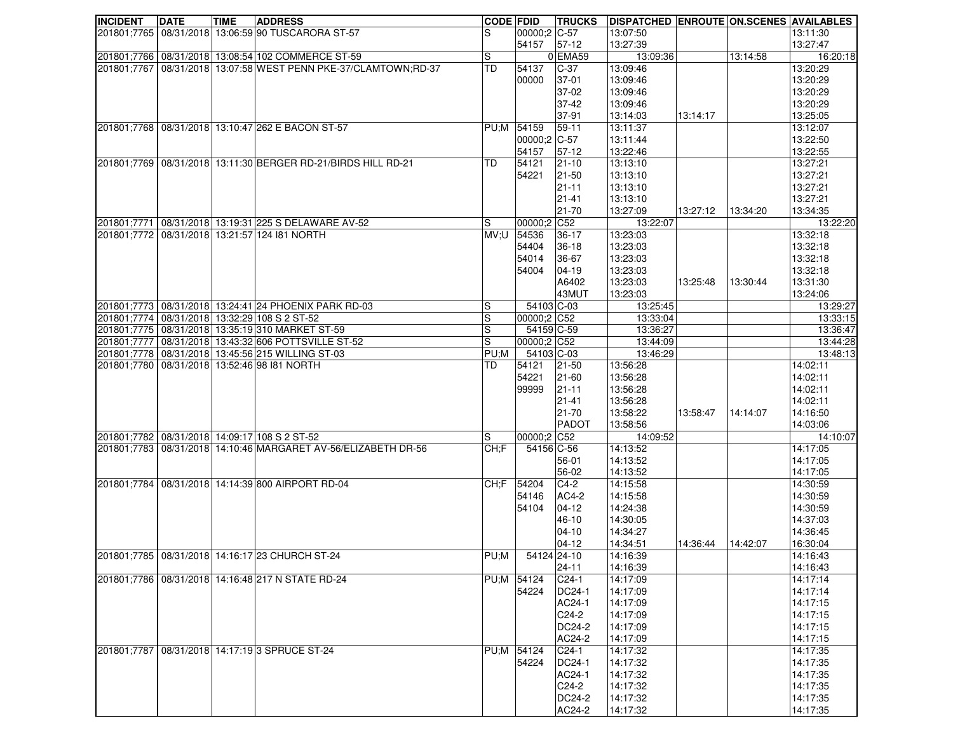| <b>INCIDENT</b> | <b>DATE</b> | <b>TIME</b> | <b>ADDRESS</b>                                                 | <b>CODE FDID</b>             |                           | <b>TRUCKS</b>          | <b>DISPATCHED ENROUTE ON SCENES AVAILABLES</b> |          |          |                      |
|-----------------|-------------|-------------|----------------------------------------------------------------|------------------------------|---------------------------|------------------------|------------------------------------------------|----------|----------|----------------------|
|                 |             |             | 201801;7765   08/31/2018   13:06:59 90 TUSCARORA ST-57         | S                            | 00000;2 C-57              |                        | 13:07:50                                       |          |          | 13:11:30             |
|                 |             |             |                                                                |                              | 54157                     | $57-12$                | 13:27:39                                       |          |          | 13:27:47             |
|                 |             |             | 201801;7766 08/31/2018 13:08:54 102 COMMERCE ST-59             | S                            |                           | 0 EMA59                | 13:09:36                                       |          | 13:14:58 | 16:20:18             |
| 201801;7767     |             |             | 08/31/2018 13:07:58 WEST PENN PKE-37/CLAMTOWN;RD-37            | <b>TD</b>                    | 54137                     | $C-37$                 | 13:09:46                                       |          |          | 13:20:29             |
|                 |             |             |                                                                |                              | 00000                     | 37-01                  | 13:09:46                                       |          |          | 13:20:29             |
|                 |             |             |                                                                |                              |                           | 37-02                  | 13:09:46                                       |          |          | 13:20:29             |
|                 |             |             |                                                                |                              |                           | 37-42                  | 13:09:46                                       |          |          | 13:20:29             |
|                 |             |             |                                                                |                              |                           | 37-91                  | 13:14:03                                       | 13:14:17 |          | 13:25:05             |
|                 |             |             | 201801;7768 08/31/2018 13:10:47 262 E BACON ST-57              |                              | PU;M 54159                | $59 - 11$              | 13:11:37                                       |          |          | 13:12:07             |
|                 |             |             |                                                                |                              | 00000;2 C-57              |                        | 13:11:44                                       |          |          | 13:22:50             |
|                 |             |             |                                                                |                              | 54157                     | $57-12$                | 13:22:46                                       |          |          | 13:22:55             |
|                 |             |             | 201801;7769 08/31/2018 13:11:30 BERGER RD-21/BIRDS HILL RD-21  | <b>TD</b>                    | 54121                     | $ 21 - 10$             | 13:13:10                                       |          |          | 13:27:21             |
|                 |             |             |                                                                |                              | 54221                     | $21 - 50$              | 13:13:10                                       |          |          | 13:27:21             |
|                 |             |             |                                                                |                              |                           | $21 - 11$              | 13:13:10                                       |          |          | 13:27:21             |
|                 |             |             |                                                                |                              |                           | $21 - 41$              | 13:13:10                                       |          |          | 13:27:21             |
|                 |             |             |                                                                |                              |                           | 21-70                  | 13:27:09                                       | 13:27:12 | 13:34:20 | 13:34:35             |
|                 |             |             | 201801;7771 08/31/2018 13:19:31 225 S DELAWARE AV-52           | S                            | 00000;2 C52               |                        | 13:22:07                                       |          |          | 13:22:20             |
|                 |             |             | 201801;7772 08/31/2018 13:21:57 124 181 NORTH                  | MV;U                         | 54536                     | $36-17$                | 13:23:03                                       |          |          | 13:32:18             |
|                 |             |             |                                                                |                              | 54404                     | 36-18                  | 13:23:03                                       |          |          | 13:32:18             |
|                 |             |             |                                                                |                              | 54014                     | 36-67                  | 13:23:03                                       |          |          | 13:32:18             |
|                 |             |             |                                                                |                              | 54004                     | 04-19                  | 13:23:03                                       |          |          | 13:32:18             |
|                 |             |             |                                                                |                              |                           | A6402                  | 13:23:03                                       | 13:25:48 | 13:30:44 | 13:31:30             |
|                 |             |             |                                                                |                              |                           | 43MUT                  | 13:23:03                                       |          |          | 13:24:06             |
|                 |             |             | 201801;7773 08/31/2018 13:24:41 24 PHOENIX PARK RD-03          | S                            | 54103 C-03                |                        | 13:25:45                                       |          |          | 13:29:27             |
|                 |             |             | 201801;7774 08/31/2018 13:32:29 108 S 2 ST-52                  | $\mathbb S$                  | 00000;2 C52               |                        | 13:33:04                                       |          |          | 13:33:15             |
|                 |             |             | 201801;7775   08/31/2018   13:35:19 310 MARKET ST-59           | S<br>$\overline{\mathbf{s}}$ | 54159 C-59<br>00000;2 C52 |                        | 13:36:27                                       |          |          | 13:36:47             |
|                 |             |             | 201801;7777 08/31/2018 13:43:32 606 POTTSVILLE ST-52           |                              |                           |                        | 13:44:09                                       |          |          | 13:44:28             |
|                 |             |             | 201801;7778   08/31/2018   13:45:56 215 WILLING ST-03          | PU;M                         | 54103 C-03                |                        | 13:46:29                                       |          |          | 13:48:13             |
|                 |             |             | 201801;7780 08/31/2018 13:52:46 98 181 NORTH                   | TD                           | 54121                     | $ 21 - 50$             | 13:56:28<br>13:56:28                           |          |          | 14:02:11<br>14:02:11 |
|                 |             |             |                                                                |                              | 54221<br>99999            | $21 - 60$<br>$21 - 11$ | 13:56:28                                       |          |          | 14:02:11             |
|                 |             |             |                                                                |                              |                           | $21 - 41$              | 13:56:28                                       |          |          | 14:02:11             |
|                 |             |             |                                                                |                              |                           | $21 - 70$              | 13:58:22                                       | 13:58:47 | 14:14:07 | 14:16:50             |
|                 |             |             |                                                                |                              |                           | <b>PADOT</b>           | 13:58:56                                       |          |          | 14:03:06             |
|                 |             |             | 201801;7782 08/31/2018 14:09:17 108 S 2 ST-52                  | S                            | 00000;2 C52               |                        | 14:09:52                                       |          |          | 14:10:07             |
|                 |             |             | 201801;7783 08/31/2018 14:10:46 MARGARET AV-56/ELIZABETH DR-56 | CH:F                         | 54156 C-56                |                        | 14:13:52                                       |          |          | 14:17:05             |
|                 |             |             |                                                                |                              |                           | 56-01                  | 14:13:52                                       |          |          | 14:17:05             |
|                 |             |             |                                                                |                              |                           | 56-02                  | 14:13:52                                       |          |          | 14:17:05             |
|                 |             |             | 201801;7784 08/31/2018 14:14:39 800 AIRPORT RD-04              | CH: F                        | 54204                     | $C4-2$                 | 14:15:58                                       |          |          | 14:30:59             |
|                 |             |             |                                                                |                              | 54146                     | AC4-2                  | 14:15:58                                       |          |          | 14:30:59             |
|                 |             |             |                                                                |                              | 54104                     | $04-12$                | 14:24:38                                       |          |          | 14:30:59             |
|                 |             |             |                                                                |                              |                           | 46-10                  | 14:30:05                                       |          |          | 14:37:03             |
|                 |             |             |                                                                |                              |                           | $04 - 10$              | 14:34:27                                       |          |          | 14:36:45             |
|                 |             |             |                                                                |                              |                           | $04-12$                | 14:34:51                                       | 14:36:44 | 14:42:07 | 16:30:04             |
|                 |             |             | 201801;7785 08/31/2018 14:16:17 23 CHURCH ST-24                |                              | PU;M 54124 24-10          |                        | 14:16:39                                       |          |          | 14:16:43             |
|                 |             |             |                                                                |                              |                           | $24 - 11$              | 14:16:39                                       |          |          | 14:16:43             |
|                 |             |             | 201801;7786 08/31/2018 14:16:48 217 N STATE RD-24              | PU;M 54124                   |                           | $C24-1$                | 14:17:09                                       |          |          | 14:17:14             |
|                 |             |             |                                                                |                              | 54224                     | DC24-1                 | 14:17:09                                       |          |          | 14:17:14             |
|                 |             |             |                                                                |                              |                           | AC24-1                 | 14:17:09                                       |          |          | 14:17:15             |
|                 |             |             |                                                                |                              |                           | C <sub>24</sub> -2     | 14:17:09                                       |          |          | 14:17:15             |
|                 |             |             |                                                                |                              |                           | <b>DC24-2</b>          | 14:17:09                                       |          |          | 14:17:15             |
|                 |             |             |                                                                |                              |                           | AC24-2                 | 14:17:09                                       |          |          | 14:17:15             |
| 201801;7787     |             |             | 08/31/2018 14:17:19 3 SPRUCE ST-24                             | PU;M 54124                   |                           | $C24-1$                | 14:17:32                                       |          |          | 14:17:35             |
|                 |             |             |                                                                |                              | 54224                     | DC24-1                 | 14:17:32                                       |          |          | 14:17:35             |
|                 |             |             |                                                                |                              |                           | AC24-1                 | 14:17:32                                       |          |          | 14:17:35             |
|                 |             |             |                                                                |                              |                           | C <sub>24</sub> -2     | 14:17:32                                       |          |          | 14:17:35             |
|                 |             |             |                                                                |                              |                           | DC24-2                 | 14:17:32                                       |          |          | 14:17:35             |
|                 |             |             |                                                                |                              |                           | AC24-2                 | 14:17:32                                       |          |          | 14:17:35             |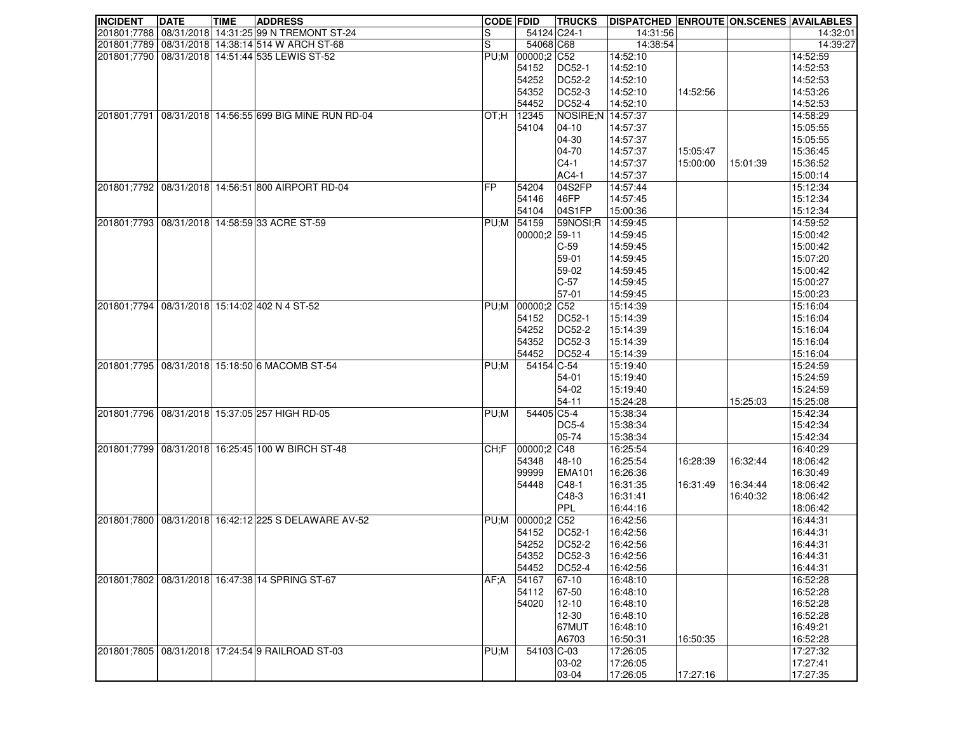| <b>INCIDENT</b> | <b>DATE</b> | <b>TIME</b> | <b>ADDRESS</b>                                         | <b>CODE FDID</b> |                  | <b>TRUCKS</b>     | <b>DISPATCHED ENROUTE ON SCENES AVAILABLES</b> |          |          |          |
|-----------------|-------------|-------------|--------------------------------------------------------|------------------|------------------|-------------------|------------------------------------------------|----------|----------|----------|
|                 |             |             | 201801;7788   08/31/2018   14:31:25 99 N TREMONT ST-24 | S                | 54124 C24-1      |                   | 14:31:56                                       |          |          | 14:32:01 |
|                 |             |             | 201801;7789   08/31/2018   14:38:14 514 W ARCH ST-68   | $\mathbf S$      | 54068 C68        |                   | 14:38:54                                       |          |          | 14:39:27 |
|                 |             |             | 201801;7790 08/31/2018 14:51:44 535 LEWIS ST-52        |                  | PU;M 00000;2 C52 |                   | 14:52:10                                       |          |          | 14:52:59 |
|                 |             |             |                                                        |                  | 54152            | <b>DC52-1</b>     | 14:52:10                                       |          |          | 14:52:53 |
|                 |             |             |                                                        |                  | 54252            | DC52-2            | 14:52:10                                       |          |          | 14:52:53 |
|                 |             |             |                                                        |                  | 54352            | <b>DC52-3</b>     | 14:52:10                                       | 14:52:56 |          | 14:53:26 |
|                 |             |             |                                                        |                  | 54452            | DC52-4            | 14:52:10                                       |          |          | 14:52:53 |
| 201801;7791     |             |             | 08/31/2018 14:56:55 699 BIG MINE RUN RD-04             | IOT:H            | 12345            | NOSIRE;N 14:57:37 |                                                |          |          | 14:58:29 |
|                 |             |             |                                                        |                  | 54104            | $04 - 10$         | 14:57:37                                       |          |          | 15:05:55 |
|                 |             |             |                                                        |                  |                  | 04-30             | 14:57:37                                       |          |          | 15:05:55 |
|                 |             |             |                                                        |                  |                  | 04-70             | 14:57:37                                       | 15:05:47 |          | 15:36:45 |
|                 |             |             |                                                        |                  |                  | $C4-1$            | 14:57:37                                       | 15:00:00 | 15:01:39 | 15:36:52 |
|                 |             |             |                                                        |                  |                  | AC4-1             | 14:57:37                                       |          |          | 15:00:14 |
|                 |             |             | 201801;7792 08/31/2018 14:56:51 800 AIRPORT RD-04      | FP               | 54204            | 04S2FP            | 14:57:44                                       |          |          | 15:12:34 |
|                 |             |             |                                                        |                  | 54146            | 46FP              | 14:57:45                                       |          |          | 15:12:34 |
|                 |             |             |                                                        |                  | 54104            | 04S1FP            | 15:00:36                                       |          |          | 15:12:34 |
| 201801;7793     |             |             | 08/31/2018 14:58:59 33 ACRE ST-59                      | PU;M             | 54159            | 59NOSI;R          | 14:59:45                                       |          |          | 14:59:52 |
|                 |             |             |                                                        |                  |                  |                   |                                                |          |          |          |
|                 |             |             |                                                        |                  | 00000;2 59-11    |                   | 14:59:45                                       |          |          | 15:00:42 |
|                 |             |             |                                                        |                  |                  | $C-59$            | 14:59:45                                       |          |          | 15:00:42 |
|                 |             |             |                                                        |                  |                  | 59-01             | 14:59:45                                       |          |          | 15:07:20 |
|                 |             |             |                                                        |                  |                  | 59-02             | 14:59:45                                       |          |          | 15:00:42 |
|                 |             |             |                                                        |                  |                  | $C-57$            | 14:59:45                                       |          |          | 15:00:27 |
|                 |             |             |                                                        |                  |                  | 57-01             | 14:59:45                                       |          |          | 15:00:23 |
| 201801;7794     |             |             | 08/31/2018 15:14:02 402 N 4 ST-52                      | PU:M             | 00000;2 C52      |                   | 15:14:39                                       |          |          | 15:16:04 |
|                 |             |             |                                                        |                  | 54152            | DC52-1            | 15:14:39                                       |          |          | 15:16:04 |
|                 |             |             |                                                        |                  | 54252            | DC52-2            | 15:14:39                                       |          |          | 15:16:04 |
|                 |             |             |                                                        |                  | 54352            | <b>DC52-3</b>     | 15:14:39                                       |          |          | 15:16:04 |
|                 |             |             |                                                        |                  | 54452            | <b>DC52-4</b>     | 15:14:39                                       |          |          | 15:16:04 |
| 201801;7795     |             |             | 08/31/2018 15:18:50 6 MACOMB ST-54                     | PU;M             | 54154 C-54       |                   | 15:19:40                                       |          |          | 15:24:59 |
|                 |             |             |                                                        |                  |                  | 54-01             | 15:19:40                                       |          |          | 15:24:59 |
|                 |             |             |                                                        |                  |                  | 54-02             | 15:19:40                                       |          |          | 15:24:59 |
|                 |             |             |                                                        |                  |                  | 54-11             | 15:24:28                                       |          | 15:25:03 | 15:25:08 |
|                 |             |             | 201801;7796 08/31/2018 15:37:05 257 HIGH RD-05         | PU;M             | 54405 C5-4       |                   | 15:38:34                                       |          |          | 15:42:34 |
|                 |             |             |                                                        |                  |                  | <b>DC5-4</b>      | 15:38:34                                       |          |          | 15:42:34 |
|                 |             |             |                                                        |                  |                  | 05-74             | 15:38:34                                       |          |          | 15:42:34 |
| 201801;7799     |             |             | 08/31/2018 16:25:45 100 W BIRCH ST-48                  | CH:F             | 00000;2 C48      |                   | 16:25:54                                       |          |          | 16:40:29 |
|                 |             |             |                                                        |                  | 54348            | 48-10             | 16:25:54                                       | 16:28:39 | 16:32:44 | 18:06:42 |
|                 |             |             |                                                        |                  | 99999            | <b>EMA101</b>     | 16:26:36                                       |          |          | 16:30:49 |
|                 |             |             |                                                        |                  | 54448            | $C48-1$           | 16:31:35                                       | 16:31:49 | 16:34:44 | 18:06:42 |
|                 |             |             |                                                        |                  |                  | $C48-3$           | 16:31:41                                       |          | 16:40:32 | 18:06:42 |
|                 |             |             |                                                        |                  |                  | PPL               | 16:44:16                                       |          |          | 18:06:42 |
|                 |             |             | 201801;7800 08/31/2018 16:42:12 225 S DELAWARE AV-52   |                  | PU;M 00000;2 C52 |                   | 16:42:56                                       |          |          | 16:44:31 |
|                 |             |             |                                                        |                  | 54152            | DC52-1            | 16:42:56                                       |          |          | 16:44:31 |
|                 |             |             |                                                        |                  | 54252            | <b>DC52-2</b>     | 16:42:56                                       |          |          | 16:44:31 |
|                 |             |             |                                                        |                  | 54352            | DC52-3            | 16:42:56                                       |          |          | 16:44:31 |
|                 |             |             |                                                        |                  | 54452            | DC52-4            | 16:42:56                                       |          |          | 16:44:31 |
|                 |             |             |                                                        |                  |                  |                   |                                                |          |          | 16:52:28 |
|                 |             |             | 201801;7802 08/31/2018 16:47:38 14 SPRING ST-67        | AF:A             | 54167            | 67-10             | 16:48:10                                       |          |          | 16:52:28 |
|                 |             |             |                                                        |                  | 54112            | 67-50             | 16:48:10                                       |          |          |          |
|                 |             |             |                                                        |                  | 54020            | $12 - 10$         | 16:48:10                                       |          |          | 16:52:28 |
|                 |             |             |                                                        |                  |                  | 12-30             | 16:48:10                                       |          |          | 16:52:28 |
|                 |             |             |                                                        |                  |                  | 67MUT             | 16:48:10                                       |          |          | 16:49:21 |
|                 |             |             |                                                        |                  |                  | A6703             | 16:50:31                                       | 16:50:35 |          | 16:52:28 |
| 201801;7805     |             |             | 08/31/2018 17:24:54 9 RAILROAD ST-03                   | PU;M             | 54103 C-03       |                   | 17:26:05                                       |          |          | 17:27:32 |
|                 |             |             |                                                        |                  |                  | 03-02             | 17:26:05                                       |          |          | 17:27:41 |
|                 |             |             |                                                        |                  |                  | 03-04             | 17:26:05                                       | 17:27:16 |          | 17:27:35 |